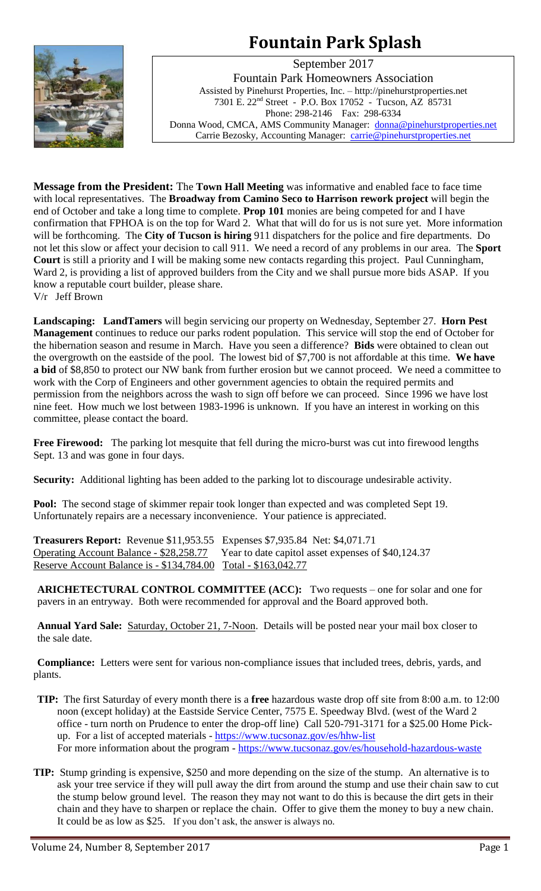# **Fountain Park Splash**



September 2017 Fountain Park Homeowners Association Assisted by Pinehurst Properties, Inc. – http://pinehurstproperties.net 7301 E. 22nd Street - P.O. Box 17052 - Tucson, AZ 85731 Phone: 298-2146 Fax: 298-6334 Donna Wood, CMCA, AMS Community Manager: [donna@pinehurstproperties.net](mailto:donna@pinehurstproperties.net) Carrie Bezosky, Accounting Manager: [carrie@pinehurstproperties.net](mailto:carrie@pinehurstproperties.net)

**Message from the President:** The **Town Hall Meeting** was informative and enabled face to face time with local representatives. The **Broadway from Camino Seco to Harrison rework project** will begin the end of October and take a long time to complete. **Prop 101** monies are being competed for and I have confirmation that FPHOA is on the top for Ward 2. What that will do for us is not sure yet. More information will be forthcoming. The **City of Tucson is hiring** 911 dispatchers for the police and fire departments. Do not let this slow or affect your decision to call 911. We need a record of any problems in our area. The **Sport Court** is still a priority and I will be making some new contacts regarding this project. Paul Cunningham, Ward 2, is providing a list of approved builders from the City and we shall pursue more bids ASAP. If you know a reputable court builder, please share.

V/r Jeff Brown

**Landscaping: LandTamers** will begin servicing our property on Wednesday, September 27. **Horn Pest Management** continues to reduce our parks rodent population. This service will stop the end of October for the hibernation season and resume in March. Have you seen a difference? **Bids** were obtained to clean out the overgrowth on the eastside of the pool. The lowest bid of \$7,700 is not affordable at this time. **We have a bid** of \$8,850 to protect our NW bank from further erosion but we cannot proceed. We need a committee to work with the Corp of Engineers and other government agencies to obtain the required permits and permission from the neighbors across the wash to sign off before we can proceed. Since 1996 we have lost nine feet. How much we lost between 1983-1996 is unknown. If you have an interest in working on this committee, please contact the board.

**Free Firewood:** The parking lot mesquite that fell during the micro-burst was cut into firewood lengths Sept. 13 and was gone in four days.

**Security:** Additional lighting has been added to the parking lot to discourage undesirable activity.

**Pool:** The second stage of skimmer repair took longer than expected and was completed Sept 19. Unfortunately repairs are a necessary inconvenience. Your patience is appreciated.

**Treasurers Report:** Revenue \$11,953.55 Expenses \$7,935.84 Net: \$4,071.71 Operating Account Balance - \$28,258.77 Year to date capitol asset expenses of \$40,124.37 Reserve Account Balance is - \$134,784.00 Total - \$163,042.77

**ARICHETECTURAL CONTROL COMMITTEE (ACC):** Two requests – one for solar and one for pavers in an entryway. Both were recommended for approval and the Board approved both.

**Annual Yard Sale:** Saturday, October 21, 7-Noon. Details will be posted near your mail box closer to the sale date.

**Compliance:** Letters were sent for various non-compliance issues that included trees, debris, yards, and plants.

- **TIP:** The first Saturday of every month there is a **free** hazardous waste drop off site from 8:00 a.m. to 12:00 noon (except holiday) at the Eastside Service Center, 7575 E. Speedway Blvd. (west of the Ward 2 office - turn north on Prudence to enter the drop-off line) Call 520-791-3171 for a \$25.00 Home Pickup. For a list of accepted materials - <https://www.tucsonaz.gov/es/hhw-list> For more information about the program - <https://www.tucsonaz.gov/es/household-hazardous-waste>
- **TIP:** Stump grinding is expensive, \$250 and more depending on the size of the stump. An alternative is to ask your tree service if they will pull away the dirt from around the stump and use their chain saw to cut the stump below ground level. The reason they may not want to do this is because the dirt gets in their chain and they have to sharpen or replace the chain. Offer to give them the money to buy a new chain. It could be as low as \$25. If you don't ask, the answer is always no.